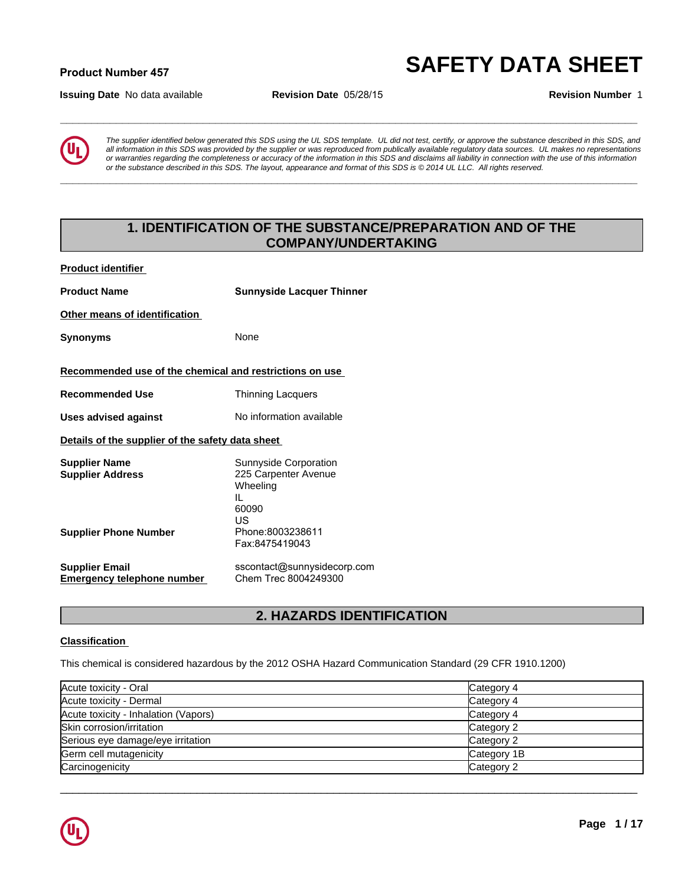### **Product Number 45<sup>7</sup> SAFETY DATA SHEET**

**Issuing Date** No data available **Revision Date** 05/28/15 **Revision Number** 1



*The supplier identified below generated this SDS using the UL SDS template. UL did not test, certify, or approve the substance described in this SDS, and all information in this SDS was provided by the supplier or was reproduced from publically available regulatory data sources. UL makes no representations or warranties regarding the completeness or accuracy of the information in this SDS and disclaims all liability in connection with the use of this information or the substance described in this SDS. The layout, appearance and format of this SDS is © 2014 UL LLC. All rights reserved.* **1. IDENTIFICATION OF THE SUBSTANCE/PREPARATION AND OF THE**<br> **1. ISON CONFIDENTIFICATION OF THE SUBSTANCE/PREPARATION AND OF THE**<br> **1. IDENTIFICATION OF THE SUBSTANCE/PREPARATION AND OF THE**<br> **1. IDENTIFICATION OF THE SUBS** 

**\_\_\_\_\_\_\_\_\_\_\_\_\_\_\_\_\_\_\_\_\_\_\_\_\_\_\_\_\_\_\_\_\_\_\_\_\_\_\_\_\_\_\_\_\_\_\_\_\_\_\_\_\_\_\_\_\_\_\_\_\_\_\_\_\_\_\_\_\_\_\_\_\_\_\_\_\_\_\_\_\_\_\_\_\_\_\_\_\_\_\_\_\_**

**\_\_\_\_\_\_\_\_\_\_\_\_\_\_\_\_\_\_\_\_\_\_\_\_\_\_\_\_\_\_\_\_\_\_\_\_\_\_\_\_\_\_\_\_\_\_\_\_\_\_\_\_\_\_\_\_\_\_\_\_\_\_\_\_\_\_\_\_\_\_\_\_\_\_\_\_\_\_\_\_\_\_\_\_\_\_\_\_\_\_\_\_\_**

### **COMPANY/UNDERTAKING**

**Product identifier** 

| <b>Product Name</b>                                        | <b>Sunnyside Lacquer Thinner</b>                                                                        |
|------------------------------------------------------------|---------------------------------------------------------------------------------------------------------|
| Other means of identification                              |                                                                                                         |
| <b>Synonyms</b>                                            | None                                                                                                    |
| Recommended use of the chemical and restrictions on use    |                                                                                                         |
| <b>Recommended Use</b>                                     | <b>Thinning Lacquers</b>                                                                                |
| <b>Uses advised against</b>                                | No information available                                                                                |
| Details of the supplier of the safety data sheet           |                                                                                                         |
| <b>Supplier Name</b><br><b>Supplier Address</b>            | Sunnyside Corporation<br>225 Carpenter Avenue<br>Wheeling<br>IL<br>60090<br>US                          |
| <b>Supplier Phone Number</b>                               | Phone:8003238611<br>Fax:8475419043                                                                      |
| <b>Supplier Email</b><br><b>Emergency telephone number</b> | sscontact@sunnysidecorp.com<br>Chem Trec 8004249300                                                     |
|                                                            | 2. HAZARDS IDENTIFICATION                                                                               |
| <b>Classification</b>                                      |                                                                                                         |
|                                                            | This chemical is considered hazardous by the 2012 OSHA Hazard Communication Standard (29 CFR 1910.1200) |

### **Classification**

| Acute toxicity - Oral                | Category 4  |
|--------------------------------------|-------------|
| Acute toxicity - Dermal              | Category 4  |
| Acute toxicity - Inhalation (Vapors) | Category 4  |
| Skin corrosion/irritation            | Category 2  |
| Serious eye damage/eye irritation    | Category 2  |
| Germ cell mutagenicity               | Category 1B |
| Carcinogenicity                      | Category 2  |

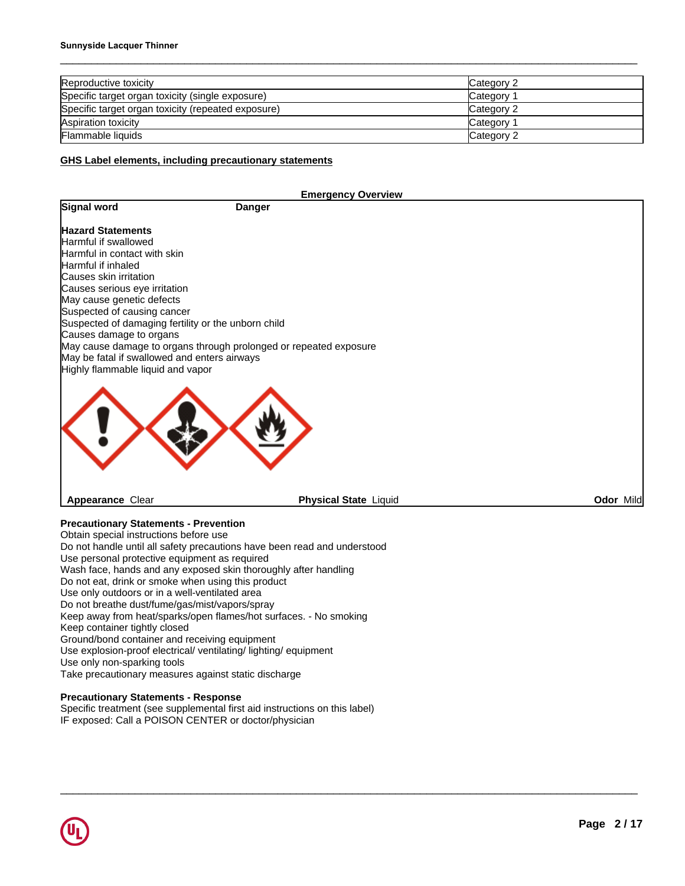| Reproductive toxicity                              | Category 2 |
|----------------------------------------------------|------------|
| Specific target organ toxicity (single exposure)   | Category 1 |
| Specific target organ toxicity (repeated exposure) | Category 2 |
| Aspiration toxicity                                | Category 1 |
| <b>Flammable liquids</b>                           | Category 2 |

### **GHS Label elements, including precautionary statements**

|                                                     | <b>Emergency Overview</b>                                         |           |
|-----------------------------------------------------|-------------------------------------------------------------------|-----------|
| Signal word                                         | <b>Danger</b>                                                     |           |
| <b>Hazard Statements</b>                            |                                                                   |           |
| Harmful if swallowed                                |                                                                   |           |
| Harmful in contact with skin                        |                                                                   |           |
| Harmful if inhaled                                  |                                                                   |           |
| Causes skin irritation                              |                                                                   |           |
| Causes serious eye irritation                       |                                                                   |           |
| May cause genetic defects                           |                                                                   |           |
| Suspected of causing cancer                         |                                                                   |           |
| Suspected of damaging fertility or the unborn child |                                                                   |           |
| Causes damage to organs                             |                                                                   |           |
|                                                     | May cause damage to organs through prolonged or repeated exposure |           |
| May be fatal if swallowed and enters airways        |                                                                   |           |
| Highly flammable liquid and vapor                   |                                                                   |           |
|                                                     |                                                                   |           |
| Appearance Clear                                    | <b>Physical State Liquid</b>                                      | Odor Mild |

 $\Box \rightarrow \Box \rightarrow \Box$ 

**Precautionary Statements - Prevention**

Obtain special instructions before use Do not handle until all safety precautions have been read and understood Use personal protective equipment as required Wash face, hands and any exposed skin thoroughly after handling Do not eat, drink or smoke when using this product Use only outdoors or in a well-ventilated area Do not breathe dust/fume/gas/mist/vapors/spray Keep away from heat/sparks/open flames/hot surfaces. - No smoking Keep container tightly closed Ground/bond container and receiving equipment Use explosion-proof electrical/ ventilating/ lighting/ equipment Use only non-sparking tools Take precautionary measures against static discharge

### **Precautionary Statements - Response**

Specific treatment (see supplemental first aid instructions on this label) IF exposed: Call a POISON CENTER or doctor/physician

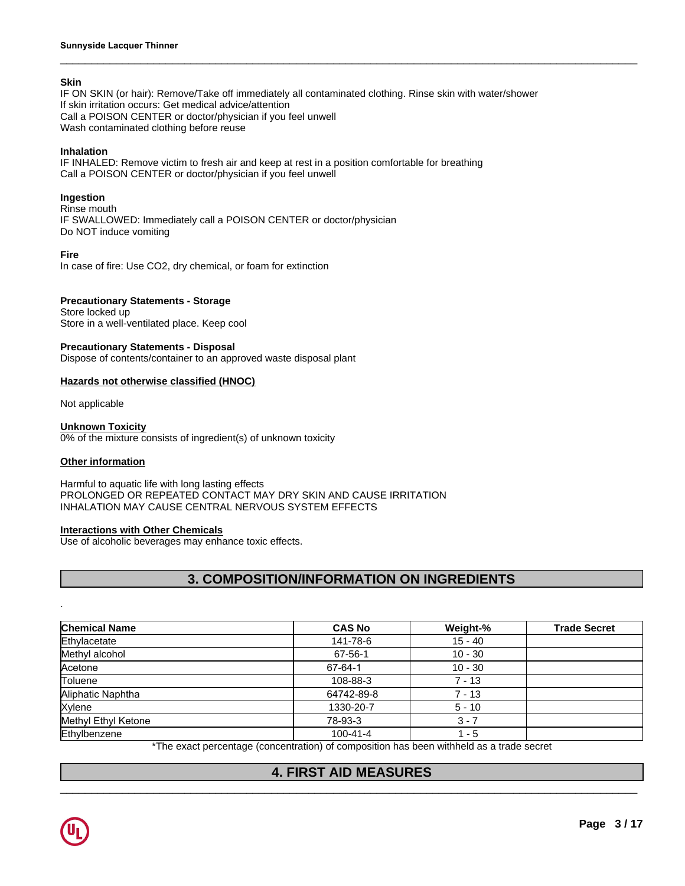### **Skin**

IF ON SKIN (or hair): Remove/Take off immediately all contaminated clothing. Rinse skin with water/shower If skin irritation occurs: Get medical advice/attention Call a POISON CENTER or doctor/physician if you feel unwell Wash contaminated clothing before reuse

 $\_$  ,  $\_$  ,  $\_$  ,  $\_$  ,  $\_$  ,  $\_$  ,  $\_$  ,  $\_$  ,  $\_$  ,  $\_$  ,  $\_$  ,  $\_$  ,  $\_$  ,  $\_$  ,  $\_$  ,  $\_$  ,  $\_$  ,  $\_$  ,  $\_$  ,  $\_$  ,  $\_$  ,  $\_$  ,  $\_$  ,  $\_$  ,  $\_$  ,  $\_$  ,  $\_$  ,  $\_$  ,  $\_$  ,  $\_$  ,  $\_$  ,  $\_$  ,  $\_$  ,  $\_$  ,  $\_$  ,  $\_$  ,  $\_$  ,

### **Inhalation**

IF INHALED: Remove victim to fresh air and keep at rest in a position comfortable for breathing Call a POISON CENTER or doctor/physician if you feel unwell

### **Ingestion**

Rinse mouth IF SWALLOWED: Immediately call a POISON CENTER or doctor/physician Do NOT induce vomiting

### **Fire**

In case of fire: Use CO2, dry chemical, or foam for extinction

### **Precautionary Statements - Storage**

Store locked up Store in a well-ventilated place. Keep cool

### **Precautionary Statements - Disposal**

Dispose of contents/container to an approved waste disposal plant

### **Hazards not otherwise classified (HNOC)**

Not applicable

### **Unknown Toxicity**

0% of the mixture consists of ingredient(s) of unknown toxicity

### **Other information**

### Harmful to aquatic life with long lasting effects PROLONGED OR REPEATED CONTACT MAY DRY SKIN AND CAUSE IRRITATION INHALATION MAY CAUSE CENTRAL NERVOUS SYSTEM EFFECTS **3. COMPOSITION/INFORMATION ON INGREDIENTS<br>
2. COMPOSITION/INFORMATION<br>
3. COMPOSITION/INFORMATION ON INGREDIENTS<br>
3. COMPOSITION/INFORMATION ON INGREDIENTS<br>
2. COMPOSITION/INFORMATION ON INGREDIENTS<br>
2. COMPOSITION/INFORM**

### **Interactions with Other Chemicals**

Use of alcoholic beverages may enhance toxic effects.

| <b>Chemical Name</b> | <b>CAS No</b>                                                                            | Weight-%  | <b>Trade Secret</b> |
|----------------------|------------------------------------------------------------------------------------------|-----------|---------------------|
| Ethylacetate         | 141-78-6                                                                                 | $15 - 40$ |                     |
| Methyl alcohol       | 67-56-1                                                                                  | $10 - 30$ |                     |
| Acetone              | 67-64-1                                                                                  | $10 - 30$ |                     |
| Toluene              | 108-88-3                                                                                 | $7 - 13$  |                     |
| Aliphatic Naphtha    | 64742-89-8                                                                               | $7 - 13$  |                     |
| Xylene               | 1330-20-7                                                                                | $5 - 10$  |                     |
| Methyl Ethyl Ketone  | 78-93-3                                                                                  | $3 - 7$   |                     |
| Ethylbenzene         | $100 - 41 - 4$                                                                           | $1 - 5$   |                     |
|                      | *The exact percentage (concentration) of composition has been withheld as a trade secret |           |                     |
|                      | <b>4. FIRST AID MEASURES</b>                                                             |           |                     |

 $\_$  ,  $\_$  ,  $\_$  ,  $\_$  ,  $\_$  ,  $\_$  ,  $\_$  ,  $\_$  ,  $\_$  ,  $\_$  ,  $\_$  ,  $\_$  ,  $\_$  ,  $\_$  ,  $\_$  ,  $\_$  ,  $\_$  ,  $\_$  ,  $\_$  ,  $\_$  ,  $\_$  ,  $\_$  ,  $\_$  ,  $\_$  ,  $\_$  ,  $\_$  ,  $\_$  ,  $\_$  ,  $\_$  ,  $\_$  ,  $\_$  ,  $\_$  ,  $\_$  ,  $\_$  ,  $\_$  ,  $\_$  ,  $\_$  ,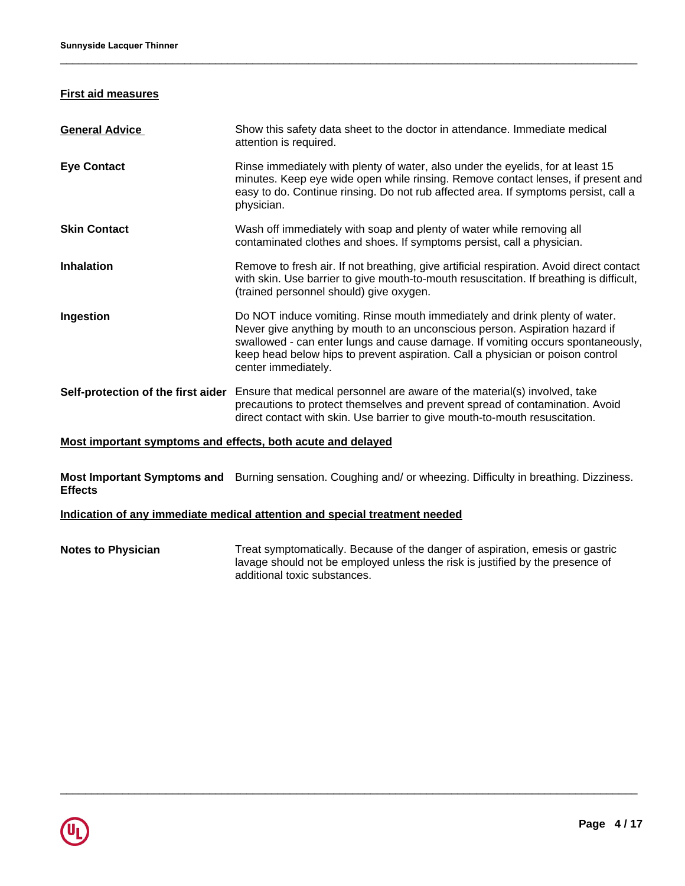### **First aid measures**

| <b>Eye Contact</b><br>Rinse immediately with plenty of water, also under the eyelids, for at least 15<br>minutes. Keep eye wide open while rinsing. Remove contact lenses, if present and<br>easy to do. Continue rinsing. Do not rub affected area. If symptoms persist, call a<br>physician.                                                                     |
|--------------------------------------------------------------------------------------------------------------------------------------------------------------------------------------------------------------------------------------------------------------------------------------------------------------------------------------------------------------------|
| Wash off immediately with soap and plenty of water while removing all<br><b>Skin Contact</b><br>contaminated clothes and shoes. If symptoms persist, call a physician.                                                                                                                                                                                             |
| <b>Inhalation</b><br>Remove to fresh air. If not breathing, give artificial respiration. Avoid direct contact<br>with skin. Use barrier to give mouth-to-mouth resuscitation. If breathing is difficult,<br>(trained personnel should) give oxygen.                                                                                                                |
| Do NOT induce vomiting. Rinse mouth immediately and drink plenty of water.<br>Ingestion<br>Never give anything by mouth to an unconscious person. Aspiration hazard if<br>swallowed - can enter lungs and cause damage. If vomiting occurs spontaneously,<br>keep head below hips to prevent aspiration. Call a physician or poison control<br>center immediately. |
| Ensure that medical personnel are aware of the material(s) involved, take<br>Self-protection of the first aider<br>precautions to protect themselves and prevent spread of contamination. Avoid<br>direct contact with skin. Use barrier to give mouth-to-mouth resuscitation.                                                                                     |

 $\_$  ,  $\_$  ,  $\_$  ,  $\_$  ,  $\_$  ,  $\_$  ,  $\_$  ,  $\_$  ,  $\_$  ,  $\_$  ,  $\_$  ,  $\_$  ,  $\_$  ,  $\_$  ,  $\_$  ,  $\_$  ,  $\_$  ,  $\_$  ,  $\_$  ,  $\_$  ,  $\_$  ,  $\_$  ,  $\_$  ,  $\_$  ,  $\_$  ,  $\_$  ,  $\_$  ,  $\_$  ,  $\_$  ,  $\_$  ,  $\_$  ,  $\_$  ,  $\_$  ,  $\_$  ,  $\_$  ,  $\_$  ,  $\_$  ,

### **Most important symptoms and effects, both acute and delayed**

**Most Important Symptoms and** Burning sensation. Coughing and/ or wheezing. Difficulty in breathing. Dizziness. **Effects**

### **Indication of any immediate medical attention and special treatment needed**

**Notes to Physician** Treat symptomatically. Because of the danger of aspiration, emesis or gastric lavage should not be employed unless the risk is justified by the presence of additional toxic substances.

 $\Box$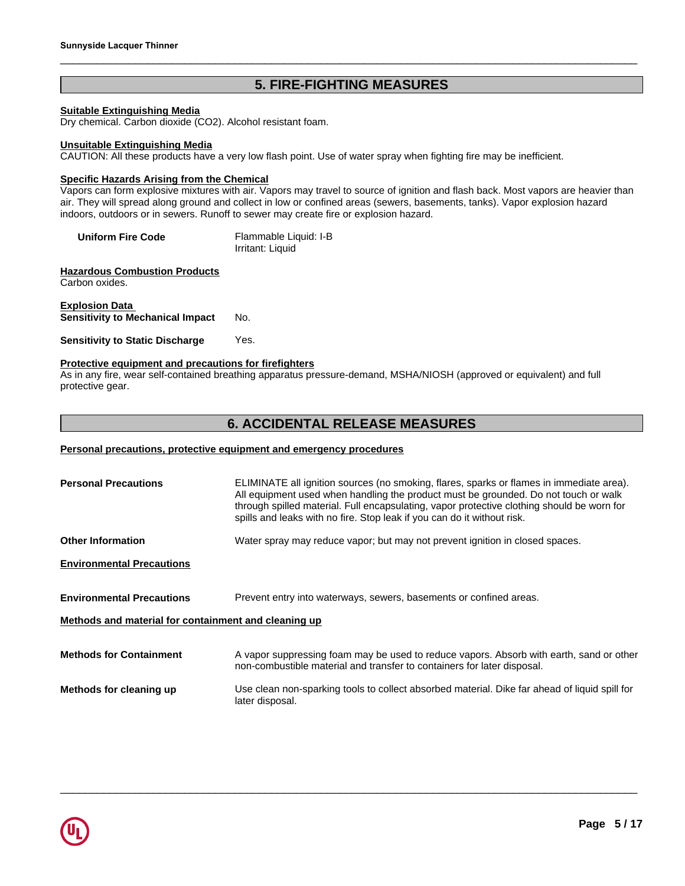# Sunnyside Lacquer Thinner<br>
5. FIRE-FIGHTING MEASURES<br>
Suitable Extinguishing Media<br>
Dry chemical. Carbon dioxide (CO2). Alcohol resistant foam.

### **Suitable Extinguishing Media**

Dry chemical. Carbon dioxide (CO2). Alcohol resistant foam.

### **Unsuitable Extinguishing Media**

CAUTION: All these products have a very low flash point. Use of water spray when fighting fire may be inefficient.

### **Specific Hazards Arising from the Chemical**

Vapors can form explosive mixtures with air. Vapors may travel to source of ignition and flash back. Most vapors are heavier than air. They will spread along ground and collect in low or confined areas (sewers, basements, tanks). Vapor explosion hazard indoors, outdoors or in sewers. Runoff to sewer may create fire or explosion hazard.

| <b>Uniform Fire Code</b> | Flammable Liquid: I-B |
|--------------------------|-----------------------|
|                          | Irritant: Liquid      |

**Hazardous Combustion Products** Carbon oxides.

### **Explosion Data Sensitivity to Mechanical Impact** No.

**Sensitivity to Static Discharge** Yes.

### **Protective equipment and precautions for firefighters**

As in any fire, wear self-contained breathing apparatus pressure-demand, MSHA/NIOSH (approved or equivalent) and full protective gear. t to sewer may create fire or explosion hazard.<br>
Flammable Liquid: I-B<br>
Irritant: Liquid<br>
No.<br>
Yes.<br>
<u>hos for firefighters</u><br>
athing apparatus pressure-demand, MSHA/NIOSH (approved or equivalent) and full<br> **6. ACCIDENTAL RE** 

### **Personal precautions, protective equipment and emergency procedures**

| <b>Personal Precautions</b>                          | ELIMINATE all ignition sources (no smoking, flares, sparks or flames in immediate area).<br>All equipment used when handling the product must be grounded. Do not touch or walk<br>through spilled material. Full encapsulating, vapor protective clothing should be worn for<br>spills and leaks with no fire. Stop leak if you can do it without risk. |
|------------------------------------------------------|----------------------------------------------------------------------------------------------------------------------------------------------------------------------------------------------------------------------------------------------------------------------------------------------------------------------------------------------------------|
| <b>Other Information</b>                             | Water spray may reduce vapor; but may not prevent ignition in closed spaces.                                                                                                                                                                                                                                                                             |
| <b>Environmental Precautions</b>                     |                                                                                                                                                                                                                                                                                                                                                          |
| <b>Environmental Precautions</b>                     | Prevent entry into waterways, sewers, basements or confined areas.                                                                                                                                                                                                                                                                                       |
| Methods and material for containment and cleaning up |                                                                                                                                                                                                                                                                                                                                                          |
| <b>Methods for Containment</b>                       | A vapor suppressing foam may be used to reduce vapors. Absorb with earth, sand or other<br>non-combustible material and transfer to containers for later disposal.                                                                                                                                                                                       |
| Methods for cleaning up                              | Use clean non-sparking tools to collect absorbed material. Dike far ahead of liquid spill for<br>later disposal.                                                                                                                                                                                                                                         |

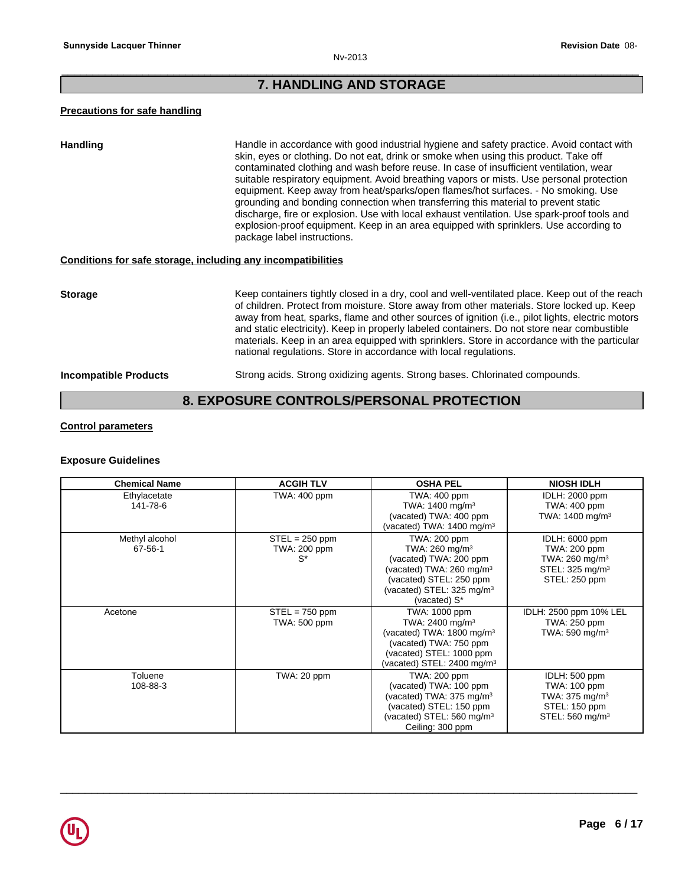### \_\_\_\_\_\_\_\_\_\_\_\_\_\_\_\_\_\_\_\_\_\_\_\_\_\_\_\_\_\_\_\_\_\_\_\_\_\_\_\_\_\_\_\_\_\_\_\_\_\_\_\_\_\_\_\_\_\_\_\_\_\_\_\_\_\_\_\_\_\_\_\_\_\_\_\_\_\_\_\_\_\_\_\_\_\_\_\_\_\_\_\_\_ **Provide AND STORAGE**<br> **7. HANDLING AND STORAGE**

### **Precautions for safe handling**

Handling **Handle in accordance with good industrial hygiene and safety practice. Avoid contact with and safety practice.** skin, eyes or clothing. Do not eat, drink or smoke when using this product. Take off contaminated clothing and wash before reuse. In case of insufficient ventilation, wear suitable respiratory equipment. Avoid breathing vapors or mists. Use personal protection equipment. Keep away from heat/sparks/open flames/hot surfaces. - No smoking. Use grounding and bonding connection when transferring this material to prevent static discharge, fire or explosion. Use with local exhaust ventilation. Use spark-proof tools and explosion-proof equipment. Keep in an area equipped with sprinklers. Use according to package label instructions.

### **Conditions for safe storage, including any incompatibilities**

equipment. Keep away from heat/sparks/open Itlames/hot surates. - No smoking. Use<br>grounding and bonding connection when transferring this material to prevent state<br>discharge, fire or explosion. Use with local exhaust venti **Storage** Keep containers tightly closed in a dry, cool and well-ventilated place. Keep out of the reach of children. Protect from moisture. Store away from other materials. Store locked up. Keep away from heat, sparks, flame and other sources of ignition (i.e., pilot lights, electric motors and static electricity). Keep in properly labeled containers. Do not store near combustible materials. Keep in an area equipped with sprinklers. Store in accordance with the particular national regulations. Store in accordance with local regulations.

**Incompatible Products** Strong acids. Strong oxidizing agents. Strong bases. Chlorinated compounds.

### **Control parameters**

### **Exposure Guidelines**

| <b>Chemical Name</b>            | <b>ACGIH TLV</b>                          | <b>OSHA PEL</b>                                                                                                                                                                                    | <b>NIOSH IDLH</b>                                                                                            |
|---------------------------------|-------------------------------------------|----------------------------------------------------------------------------------------------------------------------------------------------------------------------------------------------------|--------------------------------------------------------------------------------------------------------------|
| Ethylacetate<br>141-78-6        | TWA: 400 ppm                              | TWA: 400 ppm<br>TWA: 1400 mg/m <sup>3</sup><br>(vacated) TWA: 400 ppm<br>(vacated) TWA: 1400 mg/m <sup>3</sup>                                                                                     | <b>IDLH: 2000 ppm</b><br>TWA: 400 ppm<br>TWA: $1400$ mg/m <sup>3</sup>                                       |
| Methyl alcohol<br>$67 - 56 - 1$ | $STEL = 250$ ppm<br>TWA: 200 ppm<br>$S^*$ | TWA: 200 ppm<br>TWA: $260$ mg/m <sup>3</sup><br>(vacated) TWA: 200 ppm<br>(vacated) TWA: 260 mg/m <sup>3</sup><br>(vacated) STEL: 250 ppm<br>(vacated) STEL: 325 mg/m <sup>3</sup><br>(vacated) S* | IDLH: 6000 ppm<br>TWA: 200 ppm<br>TWA: 260 mg/m <sup>3</sup><br>STEL: 325 mg/m <sup>3</sup><br>STEL: 250 ppm |
| Acetone                         | $STEL = 750$ ppm<br>TWA: 500 ppm          | TWA: 1000 ppm<br>TWA: 2400 mg/m <sup>3</sup><br>(vacated) TWA: 1800 mg/m <sup>3</sup><br>(vacated) TWA: 750 ppm<br>(vacated) STEL: 1000 ppm<br>(vacated) STEL: 2400 mg/m $3$                       | IDLH: 2500 ppm 10% LEL<br>TWA: 250 ppm<br>TWA: 590 mg/m $3$                                                  |
| Toluene<br>108-88-3             | TWA: 20 ppm                               | TWA: 200 ppm<br>(vacated) TWA: 100 ppm<br>(vacated) TWA: $375 \text{ mg/m}^3$<br>(vacated) STEL: 150 ppm<br>(vacated) STEL: 560 mg/m $3$<br>Ceiling: 300 ppm                                       | IDLH: 500 ppm<br>TWA: 100 ppm<br>TWA: 375 mg/m <sup>3</sup><br>STEL: 150 ppm<br>STEL: 560 mg/m <sup>3</sup>  |

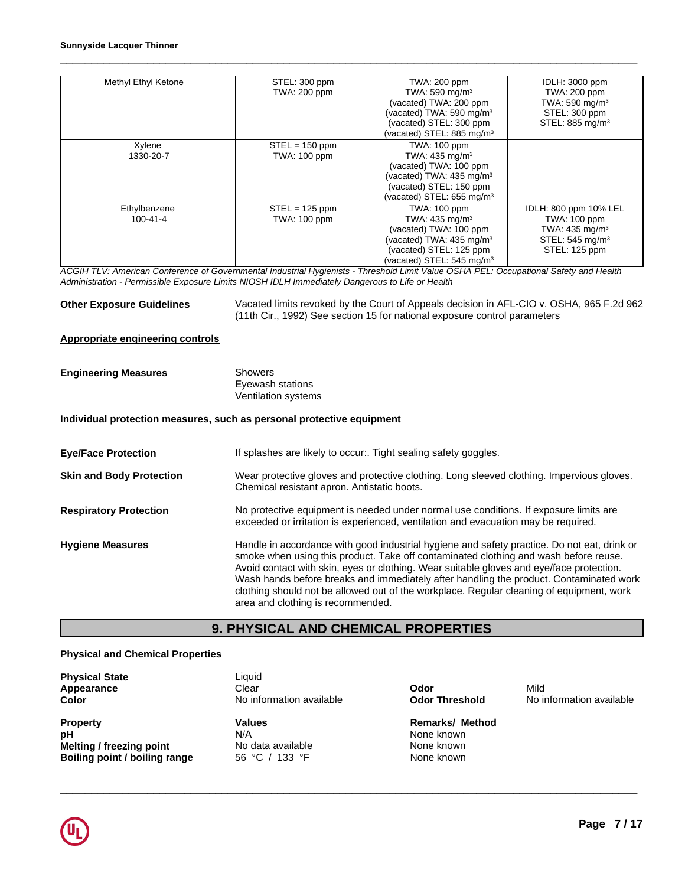| Methyl Ethyl Ketone | STEL: 300 ppm    | TWA: 200 ppm                          | IDLH: 3000 ppm              |
|---------------------|------------------|---------------------------------------|-----------------------------|
|                     | TWA: 200 ppm     | TWA: 590 mg/m <sup>3</sup>            | TWA: 200 ppm                |
|                     |                  | (vacated) TWA: 200 ppm                | TWA: 590 mg/m $3$           |
|                     |                  | (vacated) TWA: 590 mg/m <sup>3</sup>  | STEL: 300 ppm               |
|                     |                  | (vacated) STEL: 300 ppm               | STEL: 885 mg/m <sup>3</sup> |
|                     |                  | (vacated) STEL: 885 mg/m $3$          |                             |
| Xylene              | $STEL = 150$ ppm | <b>TWA: 100 ppm</b>                   |                             |
| 1330-20-7           | TWA: 100 ppm     | TWA: 435 mg/m <sup>3</sup>            |                             |
|                     |                  | (vacated) TWA: 100 ppm                |                             |
|                     |                  | (vacated) TWA: $435 \text{ mg/m}^3$   |                             |
|                     |                  | (vacated) STEL: 150 ppm               |                             |
|                     |                  | (vacated) STEL: 655 mg/m <sup>3</sup> |                             |
| Ethylbenzene        | $STEL = 125$ ppm | <b>TWA: 100 ppm</b>                   | IDLH: 800 ppm 10% LEL       |
| 100-41-4            | TWA: 100 ppm     | TWA: 435 mg/m <sup>3</sup>            | TWA: 100 ppm                |
|                     |                  | (vacated) TWA: 100 ppm                | TWA: $435 \text{ mg/m}^3$   |
|                     |                  | (vacated) TWA: 435 mg/m <sup>3</sup>  | STEL: 545 mg/m <sup>3</sup> |
|                     |                  | (vacated) STEL: 125 ppm               | STEL: 125 ppm               |
|                     |                  | (vacated) STEL: 545 mg/m <sup>3</sup> |                             |

*ACGIH TLV: American Conference of Governmental Industrial Hygienists - Threshold Limit Value OSHA PEL: Occupational Safety and Health Administration - Permissible Exposure Limits NIOSH IDLH Immediately Dangerous to Life or Health*

**Other Exposure Guidelines** Vacated limits revoked by the Court of Appeals decision in AFL-CIO v. OSHA, 965 F.2d 962 (11th Cir., 1992) See section 15 for national exposure control parameters

### **Appropriate engineering controls**

| <b>Engineering Measures</b> | Showers             |  |
|-----------------------------|---------------------|--|
|                             | Eyewash stations    |  |
|                             | Ventilation systems |  |

### **Individual protection measures, such as personal protective equipment**

|                                         | Individual protection measures, such as personal protective equipment                                                                                                                                                                                                                                                                                                                                                                                                                                      |
|-----------------------------------------|------------------------------------------------------------------------------------------------------------------------------------------------------------------------------------------------------------------------------------------------------------------------------------------------------------------------------------------------------------------------------------------------------------------------------------------------------------------------------------------------------------|
| <b>Eye/Face Protection</b>              | If splashes are likely to occur Tight sealing safety goggles.                                                                                                                                                                                                                                                                                                                                                                                                                                              |
| <b>Skin and Body Protection</b>         | Wear protective gloves and protective clothing. Long sleeved clothing. Impervious gloves.<br>Chemical resistant apron. Antistatic boots.                                                                                                                                                                                                                                                                                                                                                                   |
| <b>Respiratory Protection</b>           | No protective equipment is needed under normal use conditions. If exposure limits are<br>exceeded or irritation is experienced, ventilation and evacuation may be required.                                                                                                                                                                                                                                                                                                                                |
| <b>Hygiene Measures</b>                 | Handle in accordance with good industrial hygiene and safety practice. Do not eat, drink or<br>smoke when using this product. Take off contaminated clothing and wash before reuse.<br>Avoid contact with skin, eyes or clothing. Wear suitable gloves and eye/face protection.<br>Wash hands before breaks and immediately after handling the product. Contaminated work<br>clothing should not be allowed out of the workplace. Regular cleaning of equipment, work<br>area and clothing is recommended. |
|                                         | <b>9. PHYSICAL AND CHEMICAL PROPERTIES</b>                                                                                                                                                                                                                                                                                                                                                                                                                                                                 |
| <b>Physical and Chemical Properties</b> |                                                                                                                                                                                                                                                                                                                                                                                                                                                                                                            |
| <b>Physical State</b>                   | Liquid                                                                                                                                                                                                                                                                                                                                                                                                                                                                                                     |

### **Physical and Chemical Properties**

**Physical State Liquid Appearance Liquid Clear** 

\_\_\_\_\_\_\_\_\_\_\_\_\_\_\_\_\_\_\_\_\_\_\_\_\_\_\_\_\_\_\_\_\_\_\_\_\_\_\_\_\_\_\_\_\_\_\_\_\_\_\_\_\_\_\_\_\_\_\_\_\_\_\_\_\_\_\_\_\_\_\_\_\_\_\_\_\_\_\_\_\_\_\_\_\_\_\_\_\_\_\_\_\_ **Property Values Remarks/ Method pH** N/A None known **Melting / freezing point None known**<br> **Boiling point / boiling range Mone Solution Boiling point / boiling range Mone known Boiling point / boiling range**

N/A No data available 56 °C / 133 °F

**Appearance** Clear **Odor** Mild **Color Color No information available Odor Threshold** No information available

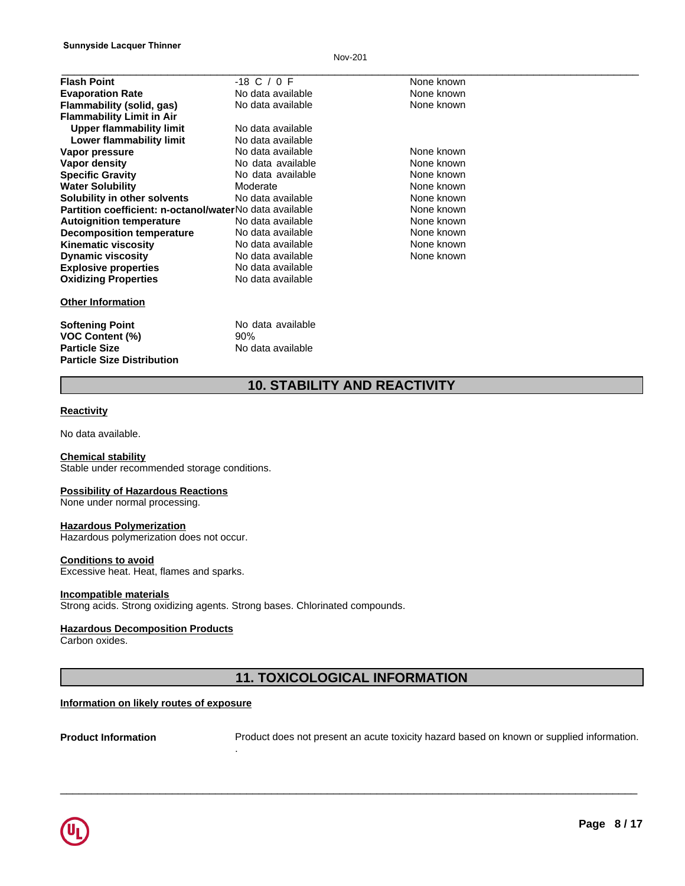Nov-201

| <b>Flash Point</b>                                      | $-18$ C / 0 F                       | None known |  |
|---------------------------------------------------------|-------------------------------------|------------|--|
| <b>Evaporation Rate</b>                                 | No data available                   | None known |  |
| Flammability (solid, gas)                               | No data available                   | None known |  |
| <b>Flammability Limit in Air</b>                        |                                     |            |  |
| <b>Upper flammability limit</b>                         | No data available                   |            |  |
| Lower flammability limit                                | No data available                   |            |  |
| Vapor pressure                                          | No data available                   | None known |  |
| <b>Vapor density</b>                                    | No data available                   | None known |  |
| <b>Specific Gravity</b>                                 | No data available                   | None known |  |
| <b>Water Solubility</b>                                 | Moderate                            | None known |  |
| Solubility in other solvents                            | No data available                   | None known |  |
| Partition coefficient: n-octanol/waterNo data available |                                     | None known |  |
| <b>Autoignition temperature</b>                         | No data available                   | None known |  |
| <b>Decomposition temperature</b>                        | No data available                   | None known |  |
| <b>Kinematic viscosity</b>                              | No data available                   | None known |  |
| <b>Dynamic viscosity</b>                                | No data available                   | None known |  |
| <b>Explosive properties</b>                             | No data available                   |            |  |
| <b>Oxidizing Properties</b>                             | No data available                   |            |  |
| <b>Other Information</b>                                |                                     |            |  |
| <b>Softening Point</b>                                  | No data available                   |            |  |
| <b>VOC Content (%)</b>                                  | 90%                                 |            |  |
| <b>Particle Size</b>                                    | No data available                   |            |  |
| <b>Particle Size Distribution</b>                       |                                     |            |  |
|                                                         | <b>10. STABILITY AND REACTIVITY</b> |            |  |
| <b>Reactivity</b>                                       |                                     |            |  |
| No data available.                                      |                                     |            |  |

### **Reactivity**

**Chemical stability** Stable under recommended storage conditions.

### **Possibility of Hazardous Reactions**

None under normal processing.

### **Hazardous Polymerization**

Hazardous polymerization does not occur.

### **Conditions to avoid**

Excessive heat. Heat, flames and sparks.

### **Incompatible materials**

Strong acids. Strong oxidizing agents. Strong bases. Chlorinated compounds.

### **Hazardous Decomposition Products**

Carbon oxides.

# <sup>utr.</sup><br>"<br>"<br>**11. TOXICOLOGICAL INFORMATION"**<br>"

### **Information on likely routes of exposure**

**Product Information** Product does not present an acute toxicity hazard based on known or supplied information. .

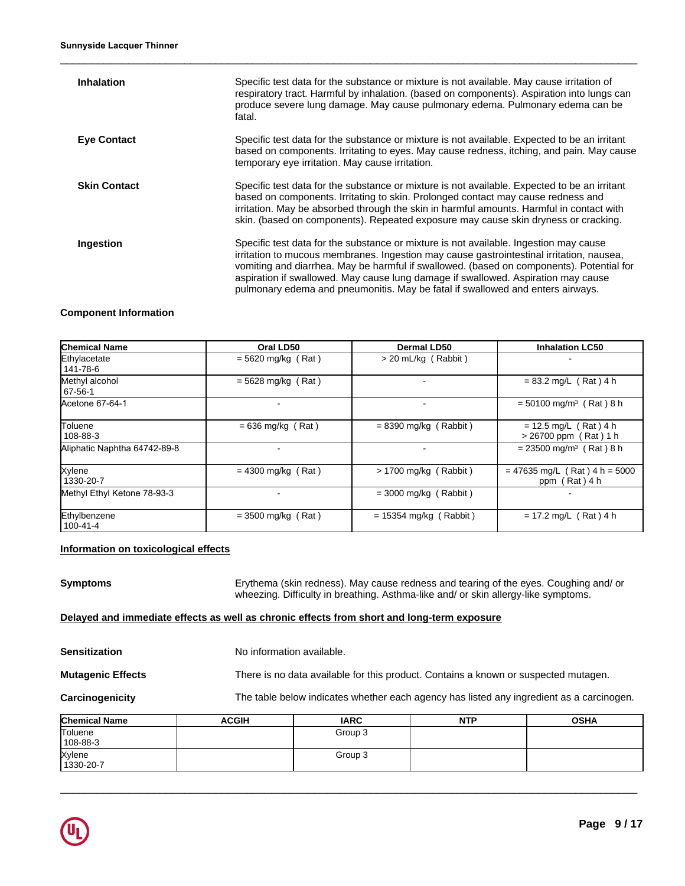| <b>Inhalation</b>   | Specific test data for the substance or mixture is not available. May cause irritation of<br>respiratory tract. Harmful by inhalation. (based on components). Aspiration into lungs can<br>produce severe lung damage. May cause pulmonary edema. Pulmonary edema can be<br>fatal.                                                                                                                                                                   |
|---------------------|------------------------------------------------------------------------------------------------------------------------------------------------------------------------------------------------------------------------------------------------------------------------------------------------------------------------------------------------------------------------------------------------------------------------------------------------------|
| <b>Eye Contact</b>  | Specific test data for the substance or mixture is not available. Expected to be an irritant<br>based on components. Irritating to eyes. May cause redness, itching, and pain. May cause<br>temporary eye irritation. May cause irritation.                                                                                                                                                                                                          |
| <b>Skin Contact</b> | Specific test data for the substance or mixture is not available. Expected to be an irritant<br>based on components. Irritating to skin. Prolonged contact may cause redness and<br>irritation. May be absorbed through the skin in harmful amounts. Harmful in contact with<br>skin. (based on components). Repeated exposure may cause skin dryness or cracking.                                                                                   |
| Ingestion           | Specific test data for the substance or mixture is not available. Ingestion may cause<br>irritation to mucous membranes. Ingestion may cause gastrointestinal irritation, nausea,<br>vomiting and diarrhea. May be harmful if swallowed. (based on components). Potential for<br>aspiration if swallowed. May cause lung damage if swallowed. Aspiration may cause<br>pulmonary edema and pneumonitis. May be fatal if swallowed and enters airways. |

### **Component Information**

| <b>Chemical Name</b>         | Oral LD50            | Dermal LD50              | <b>Inhalation LC50</b>                             |
|------------------------------|----------------------|--------------------------|----------------------------------------------------|
| Ethylacetate<br>141-78-6     | $= 5620$ mg/kg (Rat) | $>$ 20 mL/kg (Rabbit)    |                                                    |
| Methyl alcohol<br>67-56-1    | $= 5628$ mg/kg (Rat) |                          | $= 83.2$ mg/L (Rat) 4 h                            |
| Acetone 67-64-1              | $\blacksquare$       | $\overline{\phantom{a}}$ | $= 50100$ mg/m <sup>3</sup> (Rat) 8 h              |
| Toluene<br>108-88-3          | $= 636$ mg/kg (Rat)  | $= 8390$ mg/kg (Rabbit)  | $= 12.5$ mg/L (Rat) 4 h<br>$> 26700$ ppm (Rat) 1 h |
| Aliphatic Naphtha 64742-89-8 |                      |                          | $= 23500$ mg/m <sup>3</sup> (Rat) 8 h              |
| Xylene<br>1330-20-7          | $= 4300$ mg/kg (Rat) | $> 1700$ mg/kg (Rabbit)  | $= 47635$ mg/L (Rat) 4 h = 5000<br>ppm (Rat) 4 h   |
| Methyl Ethyl Ketone 78-93-3  | ٠                    | $=$ 3000 mg/kg (Rabbit)  |                                                    |
| Ethylbenzene<br>100-41-4     | $=$ 3500 mg/kg (Rat) | $= 15354$ mg/kg (Rabbit) | $= 17.2$ mg/L (Rat) 4 h                            |

### **Information on toxicological effects**

| Symptoms                 |                                                                                            | Erythema (skin redness). May cause redness and tearing of the eyes. Coughing and/or<br>wheezing. Difficulty in breathing. Asthma-like and/ or skin allergy-like symptoms. |            |                                                                                          |  |
|--------------------------|--------------------------------------------------------------------------------------------|---------------------------------------------------------------------------------------------------------------------------------------------------------------------------|------------|------------------------------------------------------------------------------------------|--|
|                          | Delayed and immediate effects as well as chronic effects from short and long-term exposure |                                                                                                                                                                           |            |                                                                                          |  |
| Sensitization            | No information available.                                                                  |                                                                                                                                                                           |            |                                                                                          |  |
| <b>Mutagenic Effects</b> |                                                                                            | There is no data available for this product. Contains a known or suspected mutagen.                                                                                       |            |                                                                                          |  |
| <b>Carcinogenicity</b>   |                                                                                            |                                                                                                                                                                           |            | The table below indicates whether each agency has listed any ingredient as a carcinogen. |  |
| Chemical Name            | <b>ACGIH</b>                                                                               | <b>IARC</b>                                                                                                                                                               | <b>NTP</b> | <b>OSHA</b>                                                                              |  |
| Toluene<br>108-88-3      |                                                                                            | Group 3                                                                                                                                                                   |            |                                                                                          |  |

Group 3

 $\_$  ,  $\_$  ,  $\_$  ,  $\_$  ,  $\_$  ,  $\_$  ,  $\_$  ,  $\_$  ,  $\_$  ,  $\_$  ,  $\_$  ,  $\_$  ,  $\_$  ,  $\_$  ,  $\_$  ,  $\_$  ,  $\_$  ,  $\_$  ,  $\_$  ,  $\_$  ,  $\_$  ,  $\_$  ,  $\_$  ,  $\_$  ,  $\_$  ,  $\_$  ,  $\_$  ,  $\_$  ,  $\_$  ,  $\_$  ,  $\_$  ,  $\_$  ,  $\_$  ,  $\_$  ,  $\_$  ,  $\_$  ,  $\_$  ,



Xylene 1330-20-7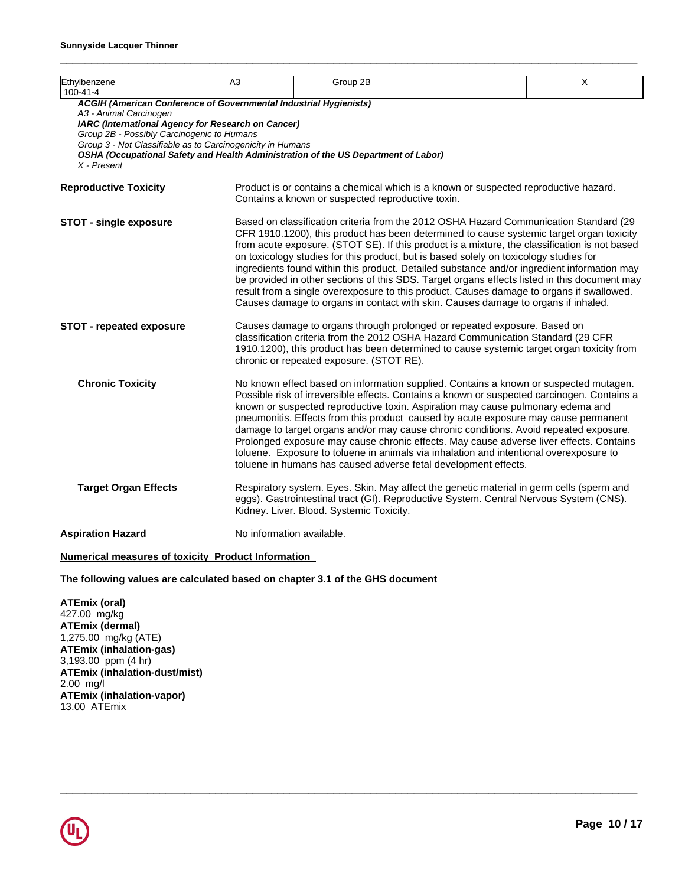| Ethylbenzene<br>100-41-4                                                            | A3                                                                                                                                                                                                                                                                          | Group 2B                                          |                                                                                                                                                                                                                                                                                                                                                                                                                                                                                                                                                                                                                                                                                                                                                             | X |
|-------------------------------------------------------------------------------------|-----------------------------------------------------------------------------------------------------------------------------------------------------------------------------------------------------------------------------------------------------------------------------|---------------------------------------------------|-------------------------------------------------------------------------------------------------------------------------------------------------------------------------------------------------------------------------------------------------------------------------------------------------------------------------------------------------------------------------------------------------------------------------------------------------------------------------------------------------------------------------------------------------------------------------------------------------------------------------------------------------------------------------------------------------------------------------------------------------------------|---|
| A3 - Animal Carcinogen<br>Group 2B - Possibly Carcinogenic to Humans<br>X - Present | ACGIH (American Conference of Governmental Industrial Hygienists)<br>IARC (International Agency for Research on Cancer)<br>Group 3 - Not Classifiable as to Carcinogenicity in Humans<br>OSHA (Occupational Safety and Health Administration of the US Department of Labor) |                                                   |                                                                                                                                                                                                                                                                                                                                                                                                                                                                                                                                                                                                                                                                                                                                                             |   |
| <b>Reproductive Toxicity</b>                                                        |                                                                                                                                                                                                                                                                             | Contains a known or suspected reproductive toxin. | Product is or contains a chemical which is a known or suspected reproductive hazard.                                                                                                                                                                                                                                                                                                                                                                                                                                                                                                                                                                                                                                                                        |   |
| <b>STOT - single exposure</b>                                                       |                                                                                                                                                                                                                                                                             |                                                   | Based on classification criteria from the 2012 OSHA Hazard Communication Standard (29<br>CFR 1910.1200), this product has been determined to cause systemic target organ toxicity<br>from acute exposure. (STOT SE). If this product is a mixture, the classification is not based<br>on toxicology studies for this product, but is based solely on toxicology studies for<br>ingredients found within this product. Detailed substance and/or ingredient information may<br>be provided in other sections of this SDS. Target organs effects listed in this document may<br>result from a single overexposure to this product. Causes damage to organs if swallowed.<br>Causes damage to organs in contact with skin. Causes damage to organs if inhaled. |   |
| STOT - repeated exposure                                                            |                                                                                                                                                                                                                                                                             | chronic or repeated exposure. (STOT RE).          | Causes damage to organs through prolonged or repeated exposure. Based on<br>classification criteria from the 2012 OSHA Hazard Communication Standard (29 CFR<br>1910.1200), this product has been determined to cause systemic target organ toxicity from                                                                                                                                                                                                                                                                                                                                                                                                                                                                                                   |   |
| <b>Chronic Toxicity</b>                                                             |                                                                                                                                                                                                                                                                             |                                                   | No known effect based on information supplied. Contains a known or suspected mutagen.<br>Possible risk of irreversible effects. Contains a known or suspected carcinogen. Contains a<br>known or suspected reproductive toxin. Aspiration may cause pulmonary edema and<br>pneumonitis. Effects from this product caused by acute exposure may cause permanent<br>damage to target organs and/or may cause chronic conditions. Avoid repeated exposure.<br>Prolonged exposure may cause chronic effects. May cause adverse liver effects. Contains<br>toluene. Exposure to toluene in animals via inhalation and intentional overexposure to<br>toluene in humans has caused adverse fetal development effects.                                             |   |
| <b>Target Organ Effects</b>                                                         |                                                                                                                                                                                                                                                                             | Kidney. Liver. Blood. Systemic Toxicity.          | Respiratory system. Eyes. Skin. May affect the genetic material in germ cells (sperm and<br>eggs). Gastrointestinal tract (GI). Reproductive System. Central Nervous System (CNS).                                                                                                                                                                                                                                                                                                                                                                                                                                                                                                                                                                          |   |
| <b>Aspiration Hazard</b>                                                            | No information available.                                                                                                                                                                                                                                                   |                                                   |                                                                                                                                                                                                                                                                                                                                                                                                                                                                                                                                                                                                                                                                                                                                                             |   |

 $\_$  ,  $\_$  ,  $\_$  ,  $\_$  ,  $\_$  ,  $\_$  ,  $\_$  ,  $\_$  ,  $\_$  ,  $\_$  ,  $\_$  ,  $\_$  ,  $\_$  ,  $\_$  ,  $\_$  ,  $\_$  ,  $\_$  ,  $\_$  ,  $\_$  ,  $\_$  ,  $\_$  ,  $\_$  ,  $\_$  ,  $\_$  ,  $\_$  ,  $\_$  ,  $\_$  ,  $\_$  ,  $\_$  ,  $\_$  ,  $\_$  ,  $\_$  ,  $\_$  ,  $\_$  ,  $\_$  ,  $\_$  ,  $\_$  ,

### **Numerical measures of toxicity Product Information**

### **The following values are calculated based on chapter 3.1 of the GHS document**

**ATEmix (oral)** 427.00 mg/kg **ATEmix (dermal)** 1,275.00 mg/kg (ATE) **ATEmix (inhalation-gas)** 3,193.00 ppm (4 hr) **ATEmix (inhalation-dust/mist)** 2.00 mg/l **ATEmix (inhalation-vapor)** 13.00 ATEmix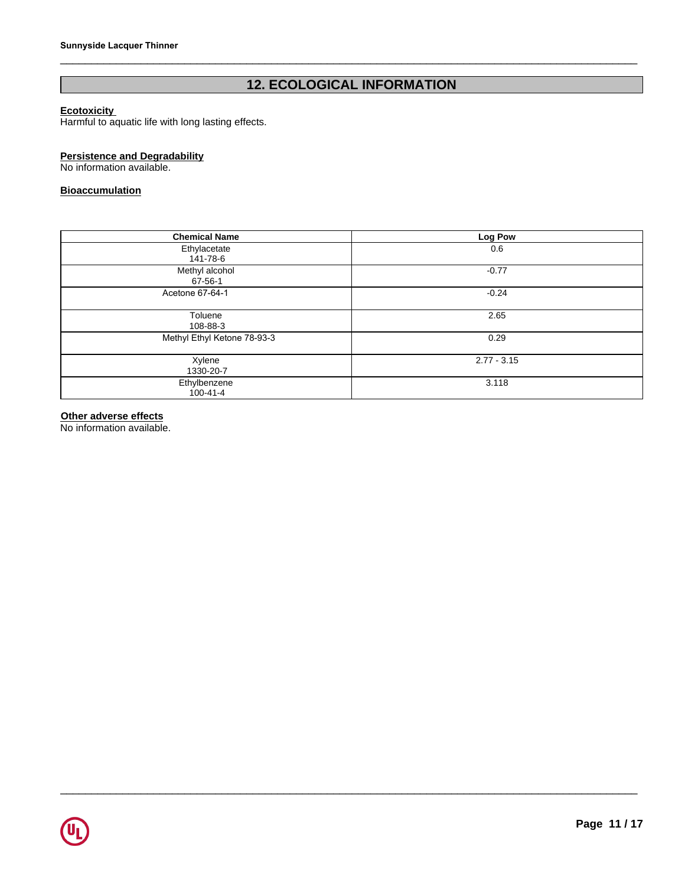# Sunnyside Lacquer Thinner<br>
12. ECOLOGICAL INFORMATION<br>Harmful to aquatic life with long lasting effects.

### **Ecotoxicity**

Harmful to aquatic life with long lasting effects.

### **Persistence and Degradability**

No information available.

### **Bioaccumulation**

| <b>Chemical Name</b>           | Log Pow       |
|--------------------------------|---------------|
| Ethylacetate<br>141-78-6       | 0.6           |
| Methyl alcohol<br>67-56-1      | $-0.77$       |
| Acetone 67-64-1                | $-0.24$       |
| Toluene<br>108-88-3            | 2.65          |
| Methyl Ethyl Ketone 78-93-3    | 0.29          |
| Xylene<br>1330-20-7            | $2.77 - 3.15$ |
| Ethylbenzene<br>$100 - 41 - 4$ | 3.118         |

 $\Box$ 

### **Other adverse effects**

No information available.

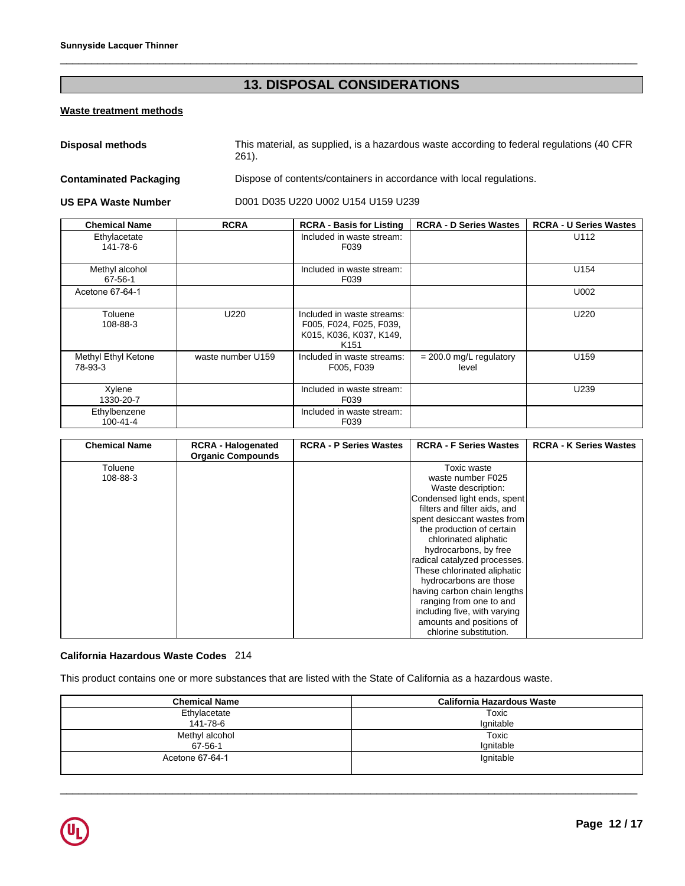# \_\_\_\_\_\_\_\_\_\_\_\_\_\_\_\_\_\_\_\_\_\_\_\_\_\_\_\_\_\_\_\_\_\_\_\_\_\_\_\_\_\_\_\_\_\_\_\_\_\_\_\_\_\_\_\_\_\_\_\_\_\_\_\_\_\_\_\_\_\_\_\_\_\_\_\_\_\_\_\_\_\_\_\_\_\_\_\_\_\_\_\_\_ **13. DISPOSAL CONSIDERATIONS**

### **Waste treatment methods**

|                                 |                                                       | 13. DISPOSAL CONSIDERATIONS                                                                          |                                    |                               |
|---------------------------------|-------------------------------------------------------|------------------------------------------------------------------------------------------------------|------------------------------------|-------------------------------|
| <b>Waste treatment methods</b>  |                                                       |                                                                                                      |                                    |                               |
| <b>Disposal methods</b>         | $261$ ).                                              | This material, as supplied, is a hazardous waste according to federal regulations (40 CFR            |                                    |                               |
| <b>Contaminated Packaging</b>   |                                                       | Dispose of contents/containers in accordance with local regulations.                                 |                                    |                               |
| <b>US EPA Waste Number</b>      |                                                       | D001 D035 U220 U002 U154 U159 U239                                                                   |                                    |                               |
| <b>Chemical Name</b>            | <b>RCRA</b>                                           | <b>RCRA - Basis for Listing</b>                                                                      | <b>RCRA - D Series Wastes</b>      | <b>RCRA - U Series Wastes</b> |
| Ethylacetate<br>141-78-6        |                                                       | Included in waste stream:<br>F039                                                                    |                                    | U112                          |
| Methyl alcohol<br>$67 - 56 - 1$ |                                                       | Included in waste stream:<br>F039                                                                    |                                    | U154                          |
| Acetone 67-64-1                 |                                                       |                                                                                                      |                                    | U002                          |
| Toluene<br>108-88-3             | U220                                                  | Included in waste streams:<br>F005, F024, F025, F039,<br>K015, K036, K037, K149,<br>K <sub>151</sub> |                                    | U220                          |
| Methyl Ethyl Ketone<br>78-93-3  | waste number U159                                     | Included in waste streams:<br>F005, F039                                                             | $= 200.0$ mg/L regulatory<br>level | U159                          |
| Xylene<br>1330-20-7             |                                                       | Included in waste stream:<br>F039                                                                    |                                    | U239                          |
| Ethylbenzene<br>$100 - 41 - 4$  |                                                       | Included in waste stream:<br>F039                                                                    |                                    |                               |
| <b>Chemical Name</b>            | <b>RCRA - Halogenated</b><br><b>Organic Compounds</b> | <b>RCRA - P Series Wastes</b>                                                                        | <b>RCRA - F Series Wastes</b>      | <b>RCRA - K Series Wastes</b> |
| Toluene<br>108-88-3             |                                                       |                                                                                                      | Toxic waste<br>waste number F025   |                               |

| <b>Chemical Name</b> | <b>RCRA - Halogenated</b><br><b>Organic Compounds</b> | <b>RCRA - P Series Wastes</b> | <b>RCRA - F Series Wastes</b> | <b>RCRA - K Series Wastes</b> |
|----------------------|-------------------------------------------------------|-------------------------------|-------------------------------|-------------------------------|
| Toluene              |                                                       |                               | Toxic waste                   |                               |
| 108-88-3             |                                                       |                               | waste number F025             |                               |
|                      |                                                       |                               | Waste description:            |                               |
|                      |                                                       |                               | Condensed light ends, spent   |                               |
|                      |                                                       |                               | filters and filter aids, and  |                               |
|                      |                                                       |                               | spent desiccant wastes from   |                               |
|                      |                                                       |                               | the production of certain     |                               |
|                      |                                                       |                               | chlorinated aliphatic         |                               |
|                      |                                                       |                               | hydrocarbons, by free         |                               |
|                      |                                                       |                               | radical catalyzed processes.  |                               |
|                      |                                                       |                               | These chlorinated aliphatic   |                               |
|                      |                                                       |                               | hydrocarbons are those        |                               |
|                      |                                                       |                               | having carbon chain lengths   |                               |
|                      |                                                       |                               | ranging from one to and       |                               |
|                      |                                                       |                               | including five, with varying  |                               |
|                      |                                                       |                               | amounts and positions of      |                               |
|                      |                                                       |                               | chlorine substitution.        |                               |

### **California Hazardous Waste Codes** 214

This product contains one or more substances that are listed with the State of California as a hazardous waste.

| <b>Chemical Name</b> | <b>California Hazardous Waste</b> |
|----------------------|-----------------------------------|
| Ethylacetate         | Toxic                             |
| 141-78-6             | Ignitable                         |
| Methyl alcohol       | Toxic                             |
| 67-56-1              | Ignitable                         |
| Acetone 67-64-1      | Ignitable                         |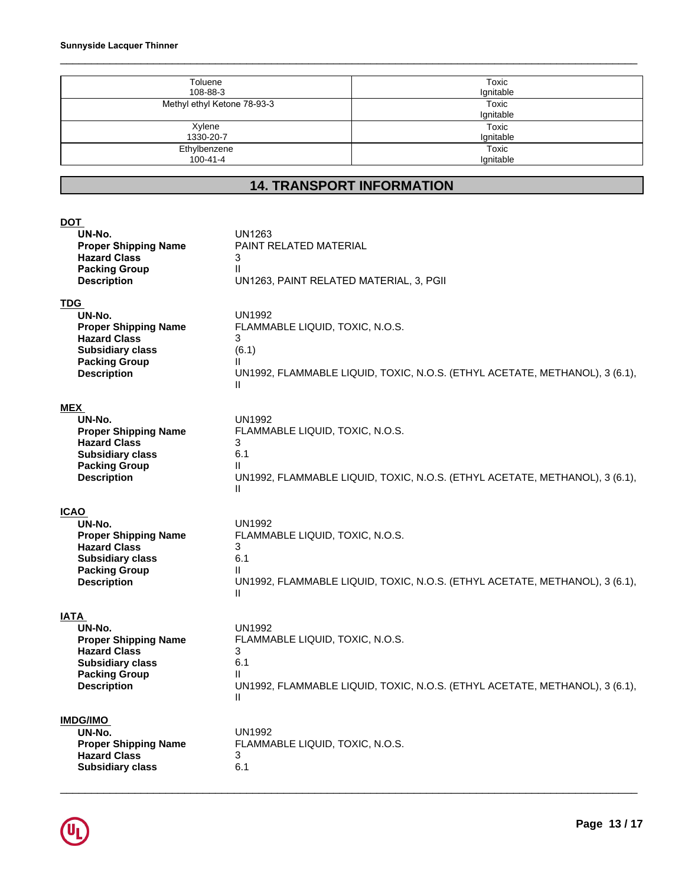| <b>Sunnyside Lacquer Thinner</b>      |                    |
|---------------------------------------|--------------------|
| Toluene                               | Toxic              |
| 108-88-3                              | Ignitable          |
| Methyl ethyl Ketone 78-93-3           | Toxic<br>Ignitable |
| Xylene<br>1330-20-7                   | Toxic<br>Ignitable |
| Ethylbenzene<br>$100 - 41 - 4$        | Toxic<br>Ignitable |
| <b>14. TRANSPORT INFORMATION</b>      |                    |
|                                       |                    |
| <b>DOT</b><br>UN-No.<br><b>UN1263</b> |                    |

| <b>DOT</b>                                                                                                 |                                                                             |
|------------------------------------------------------------------------------------------------------------|-----------------------------------------------------------------------------|
| UN-No.                                                                                                     | UN1263                                                                      |
| <b>Proper Shipping Name</b>                                                                                | PAINT RELATED MATERIAL                                                      |
| <b>Hazard Class</b>                                                                                        | 3                                                                           |
| <b>Packing Group</b>                                                                                       | $\mathbf{I}$                                                                |
| <b>Description</b>                                                                                         | UN1263, PAINT RELATED MATERIAL, 3, PGII                                     |
| <b>TDG</b>                                                                                                 | <b>UN1992</b>                                                               |
| UN-No.                                                                                                     | FLAMMABLE LIQUID, TOXIC, N.O.S.                                             |
| <b>Proper Shipping Name</b>                                                                                | 3                                                                           |
| <b>Hazard Class</b>                                                                                        | (6.1)                                                                       |
| <b>Subsidiary class</b>                                                                                    | Ш                                                                           |
| <b>Packing Group</b>                                                                                       | UN1992, FLAMMABLE LIQUID, TOXIC, N.O.S. (ETHYL ACETATE, METHANOL), 3 (6.1), |
| <b>Description</b>                                                                                         | Ш                                                                           |
| <b>MEX</b>                                                                                                 | <b>UN1992</b>                                                               |
| UN-No.                                                                                                     | FLAMMABLE LIQUID, TOXIC, N.O.S.                                             |
| <b>Proper Shipping Name</b>                                                                                | 3                                                                           |
| <b>Hazard Class</b>                                                                                        | 6.1                                                                         |
| <b>Subsidiary class</b>                                                                                    | Ш                                                                           |
| <b>Packing Group</b>                                                                                       | UN1992, FLAMMABLE LIQUID, TOXIC, N.O.S. (ETHYL ACETATE, METHANOL), 3 (6.1), |
| <b>Description</b>                                                                                         | Ш                                                                           |
| <b>ICAO</b>                                                                                                | <b>UN1992</b>                                                               |
| UN-No.                                                                                                     | FLAMMABLE LIQUID, TOXIC, N.O.S.                                             |
| <b>Proper Shipping Name</b>                                                                                | 3                                                                           |
| <b>Hazard Class</b>                                                                                        | 6.1                                                                         |
| <b>Subsidiary class</b>                                                                                    | Ш                                                                           |
| <b>Packing Group</b>                                                                                       | UN1992, FLAMMABLE LIQUID, TOXIC, N.O.S. (ETHYL ACETATE, METHANOL), 3 (6.1), |
| <b>Description</b>                                                                                         | Ш                                                                           |
| IATA                                                                                                       | <b>UN1992</b>                                                               |
| UN-No.                                                                                                     | FLAMMABLE LIQUID, TOXIC, N.O.S.                                             |
| <b>Proper Shipping Name</b>                                                                                | 3                                                                           |
| <b>Hazard Class</b>                                                                                        | 6.1                                                                         |
| <b>Subsidiary class</b>                                                                                    | Ш                                                                           |
| <b>Packing Group</b>                                                                                       | UN1992, FLAMMABLE LIQUID, TOXIC, N.O.S. (ETHYL ACETATE, METHANOL), 3 (6.1), |
| <b>Description</b>                                                                                         | Ш                                                                           |
| <b>IMDG/IMO</b><br>UN-No.<br><b>Proper Shipping Name</b><br><b>Hazard Class</b><br><b>Subsidiary class</b> | UN1992<br>FLAMMABLE LIQUID, TOXIC, N.O.S.<br>3<br>6.1                       |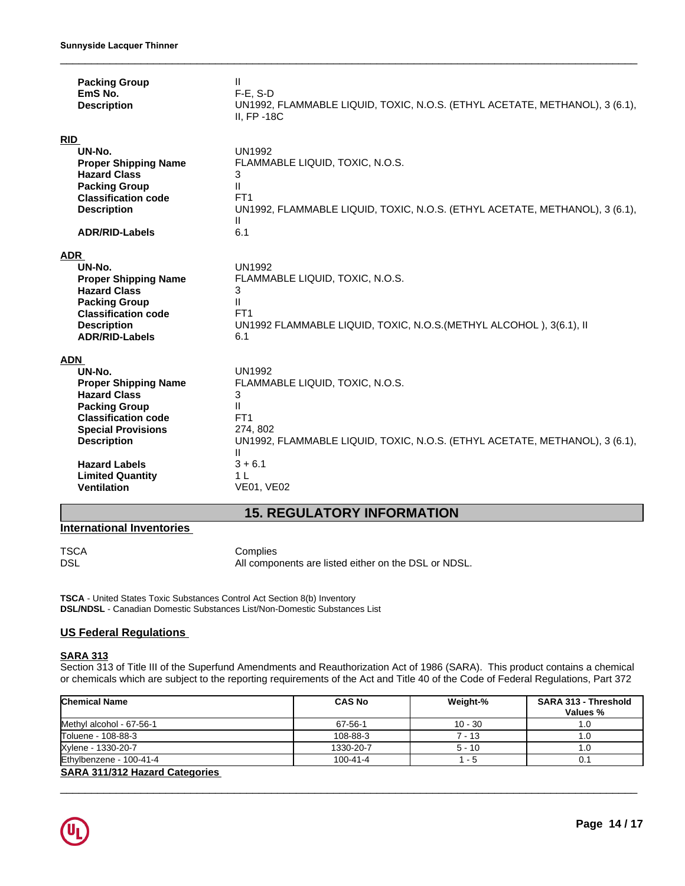| <b>Packing Group</b><br>EmS No.<br><b>Description</b>                                                                                                                                                                                                 | Ш.<br>$F-E$ , S-D<br>UN1992, FLAMMABLE LIQUID, TOXIC, N.O.S. (ETHYL ACETATE, METHANOL), 3 (6.1),<br>$II, FP-18C$                                                                                                                   |
|-------------------------------------------------------------------------------------------------------------------------------------------------------------------------------------------------------------------------------------------------------|------------------------------------------------------------------------------------------------------------------------------------------------------------------------------------------------------------------------------------|
| RID<br>UN-No.<br><b>Proper Shipping Name</b><br><b>Hazard Class</b><br><b>Packing Group</b><br><b>Classification code</b><br><b>Description</b><br><b>ADR/RID-Labels</b>                                                                              | <b>UN1992</b><br>FLAMMABLE LIQUID, TOXIC, N.O.S.<br>3<br>$\mathbf{II}$<br>FT <sub>1</sub><br>UN1992, FLAMMABLE LIQUID, TOXIC, N.O.S. (ETHYL ACETATE, METHANOL), 3 (6.1),<br>Ш.<br>6.1                                              |
| ADR<br>UN-No.<br><b>Proper Shipping Name</b><br><b>Hazard Class</b><br><b>Packing Group</b><br><b>Classification code</b><br><b>Description</b><br><b>ADR/RID-Labels</b>                                                                              | <b>UN1992</b><br>FLAMMABLE LIQUID, TOXIC, N.O.S.<br>3<br>$\mathbf{II}$<br>FT <sub>1</sub><br>UN1992 FLAMMABLE LIQUID, TOXIC, N.O.S. (METHYL ALCOHOL), 3(6.1), II<br>6.1                                                            |
| ADN<br>UN-No.<br><b>Proper Shipping Name</b><br><b>Hazard Class</b><br><b>Packing Group</b><br><b>Classification code</b><br><b>Special Provisions</b><br><b>Description</b><br><b>Hazard Labels</b><br><b>Limited Quantity</b><br><b>Ventilation</b> | <b>UN1992</b><br>FLAMMABLE LIQUID, TOXIC, N.O.S.<br>3<br>Ш.<br>FT <sub>1</sub><br>274, 802<br>UN1992, FLAMMABLE LIQUID, TOXIC, N.O.S. (ETHYL ACETATE, METHANOL), 3 (6.1),<br>Ш<br>$3 + 6.1$<br>1 <sub>L</sub><br><b>VE01, VE02</b> |
|                                                                                                                                                                                                                                                       | <b>15. REGULATORY INFORMATION</b>                                                                                                                                                                                                  |
| <b>International Inventories</b>                                                                                                                                                                                                                      |                                                                                                                                                                                                                                    |
| TSCA<br>DSL                                                                                                                                                                                                                                           | Complies<br>All components are listed either on the DSL or NDSL.                                                                                                                                                                   |

### **International Inventories**

**TSCA** - United States Toxic Substances Control Act Section 8(b) Inventory **DSL/NDSL** - Canadian Domestic Substances List/Non-Domestic Substances List

### **US Federal Regulations**

### **SARA 313**

Section 313 of Title III of the Superfund Amendments and Reauthorization Act of 1986 (SARA). This product contains a chemical or chemicals which are subject to the reporting requirements of the Act and Title 40 of the Code of Federal Regulations, Part 372

| <b>Chemical Name</b>                  | <b>CAS No</b>  | Weight-%  | SARA 313 - Threshold<br>Values % |
|---------------------------------------|----------------|-----------|----------------------------------|
| Methyl alcohol - 67-56-1              | 67-56-1        | $10 - 30$ | 1.G                              |
| Toluene - 108-88-3                    | 108-88-3       | $7 - 13$  | 1.C                              |
| Xylene - 1330-20-7                    | 1330-20-7      | $5 - 10$  | 1.G                              |
| Ethylbenzene - 100-41-4               | $100 - 41 - 4$ | - 5       | 0.1                              |
| <b>SARA 311/312 Hazard Categories</b> |                |           |                                  |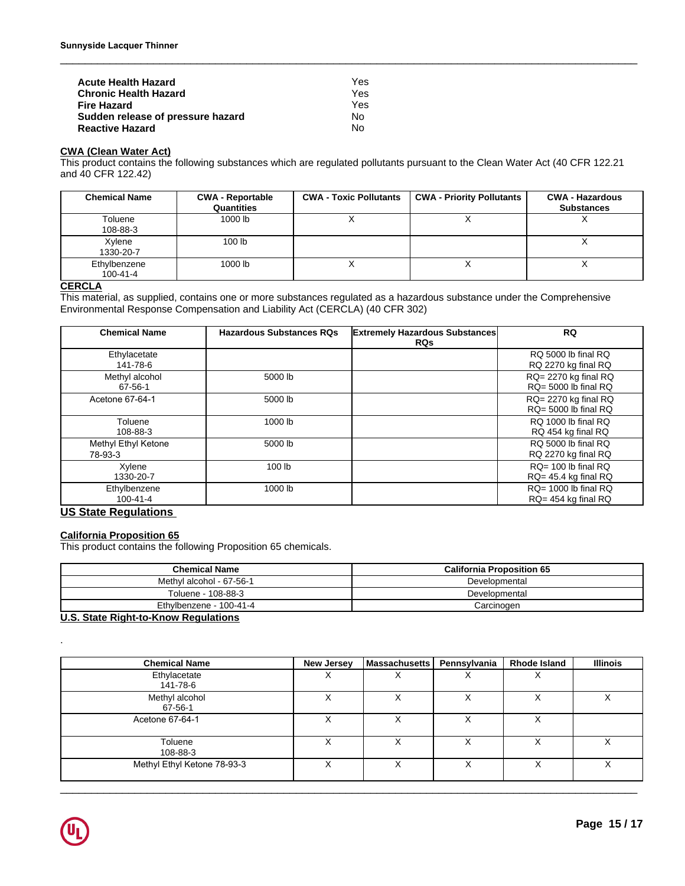| <b>Acute Health Hazard</b>        | Yes |  |
|-----------------------------------|-----|--|
| <b>Chronic Health Hazard</b>      | Yes |  |
| <b>Fire Hazard</b>                | Yes |  |
| Sudden release of pressure hazard | No. |  |
| <b>Reactive Hazard</b>            | No  |  |

### **CWA (Clean Water Act)**

 $\_$  ,  $\_$  ,  $\_$  ,  $\_$  ,  $\_$  ,  $\_$  ,  $\_$  ,  $\_$  ,  $\_$  ,  $\_$  ,  $\_$  ,  $\_$  ,  $\_$  ,  $\_$  ,  $\_$  ,  $\_$  ,  $\_$  ,  $\_$  ,  $\_$  ,  $\_$  ,  $\_$  ,  $\_$  ,  $\_$  ,  $\_$  ,  $\_$  ,  $\_$  ,  $\_$  ,  $\_$  ,  $\_$  ,  $\_$  ,  $\_$  ,  $\_$  ,  $\_$  ,  $\_$  ,  $\_$  ,  $\_$  ,  $\_$  ,

| <b>Acute Health Hazard</b><br><b>Chronic Health Hazard</b> | Yes.<br>Yes                                                                                                                  |                               |                                       |                                             |
|------------------------------------------------------------|------------------------------------------------------------------------------------------------------------------------------|-------------------------------|---------------------------------------|---------------------------------------------|
| <b>Fire Hazard</b>                                         |                                                                                                                              | <b>Yes</b>                    |                                       |                                             |
| Sudden release of pressure hazard                          |                                                                                                                              | <b>No</b>                     |                                       |                                             |
| <b>Reactive Hazard</b>                                     |                                                                                                                              | No.                           |                                       |                                             |
| <b>CWA (Clean Water Act)</b>                               |                                                                                                                              |                               |                                       |                                             |
|                                                            | This product contains the following substances which are regulated pollutants pursuant to the Clean Water Act (40 CFR 122.21 |                               |                                       |                                             |
| and 40 CFR 122.42)                                         |                                                                                                                              |                               |                                       |                                             |
| <b>Chemical Name</b>                                       |                                                                                                                              |                               |                                       |                                             |
|                                                            | <b>CWA - Reportable</b><br>Quantities                                                                                        | <b>CWA - Toxic Pollutants</b> | <b>CWA - Priority Pollutants</b>      | <b>CWA - Hazardous</b><br><b>Substances</b> |
| Toluene<br>108-88-3                                        | 1000 lb                                                                                                                      | X                             | X                                     | X                                           |
| Xylene<br>1330-20-7                                        | 100 lb                                                                                                                       |                               |                                       | X                                           |
| Ethylbenzene<br>$100 - 41 - 4$                             | 1000 lb                                                                                                                      | X                             | X                                     | X                                           |
| <b>CERCLA</b>                                              |                                                                                                                              |                               |                                       |                                             |
|                                                            | This material, as supplied, contains one or more substances regulated as a hazardous substance under the Comprehensive       |                               |                                       |                                             |
|                                                            | Environmental Response Compensation and Liability Act (CERCLA) (40 CFR 302)                                                  |                               |                                       |                                             |
| <b>Chemical Name</b>                                       | <b>Hazardous Substances RQs</b>                                                                                              |                               | <b>Extremely Hazardous Substances</b> | <b>RQ</b>                                   |
|                                                            |                                                                                                                              |                               | <b>RQs</b>                            |                                             |
| Ethylacetate                                               |                                                                                                                              |                               |                                       | RQ 5000 lb final RQ                         |
| 141-78-6                                                   |                                                                                                                              |                               |                                       | RQ 2270 kg final RQ                         |

### **CERCLA**

| <b>Chemical Name</b>           | <b>Hazardous Substances RQs</b> | <b>Extremely Hazardous Substances</b><br><b>RQs</b> | <b>RQ</b>                                         |
|--------------------------------|---------------------------------|-----------------------------------------------------|---------------------------------------------------|
| Ethylacetate<br>141-78-6       |                                 |                                                     | RQ 5000 lb final RQ<br>RQ 2270 kg final RQ        |
| Methyl alcohol<br>67-56-1      | 5000 lb                         |                                                     | RQ= 2270 kg final RQ<br>$RQ = 5000$ lb final $RQ$ |
| Acetone 67-64-1                | 5000 lb                         |                                                     | RQ= 2270 kg final RQ<br>$RQ = 5000$ lb final $RQ$ |
| Toluene<br>108-88-3            | 1000 lb                         |                                                     | RQ 1000 lb final RQ<br>RQ 454 kg final RQ         |
| Methyl Ethyl Ketone<br>78-93-3 | 5000 lb                         |                                                     | RQ 5000 lb final RQ<br>RQ 2270 kg final RQ        |
| Xylene<br>1330-20-7            | 100 lb                          |                                                     | RQ= 100 lb final RQ<br>$RQ = 45.4$ kg final $RQ$  |
| Ethylbenzene<br>$100 - 41 - 4$ | 1000 lb                         |                                                     | $RQ = 1000$ lb final $RQ$<br>RQ= 454 kg final RQ  |

### **US State Regulations**

### **California Proposition 65**

| <b>California Proposition 65</b><br>This product contains the following Proposition 65 chemicals. |                   |                      |               |                                  |                 |
|---------------------------------------------------------------------------------------------------|-------------------|----------------------|---------------|----------------------------------|-----------------|
| <b>Chemical Name</b>                                                                              |                   |                      |               | <b>California Proposition 65</b> |                 |
| Methyl alcohol - 67-56-1                                                                          |                   |                      | Developmental |                                  |                 |
| Toluene - 108-88-3                                                                                |                   | Developmental        |               |                                  |                 |
| Ethylbenzene - 100-41-4                                                                           |                   | Carcinogen           |               |                                  |                 |
| U.S. State Right-to-Know Regulations                                                              |                   |                      |               |                                  |                 |
|                                                                                                   |                   |                      |               |                                  |                 |
| <b>Chemical Name</b>                                                                              | <b>New Jersey</b> | <b>Massachusetts</b> | Pennsylvania  | <b>Rhode Island</b>              | <b>Illinois</b> |
| Ethylacetate<br>141-78-6                                                                          | X                 | X                    | X             | X                                |                 |
| Methyl alcohol                                                                                    | X                 |                      |               |                                  |                 |

### **U.S. State Right-to-Know Regulations**

| <b>Chemical Name</b>        | <b>New Jersey</b> | <b>Massachusetts</b> | Pennsylvania | <b>Rhode Island</b> | <b>Illinois</b> |
|-----------------------------|-------------------|----------------------|--------------|---------------------|-----------------|
| Ethylacetate<br>141-78-6    | ∧                 | $\checkmark$<br>∧    | $\lambda$    | ⌒                   |                 |
| Methyl alcohol<br>67-56-1   | ⌒                 | ⋏                    | ∧            |                     | v<br>∧          |
| Acetone 67-64-1             | $\checkmark$<br>⌒ | $\checkmark$<br>́    | v<br>́       | X                   |                 |
| Toluene<br>108-88-3         | $\checkmark$<br>⋏ | X                    | ∧            | х                   | ◡<br>∧          |
| Methyl Ethyl Ketone 78-93-3 | v<br>∧            | v<br>∧               | ⌒            |                     | v<br>∧          |

 $\_$  ,  $\_$  ,  $\_$  ,  $\_$  ,  $\_$  ,  $\_$  ,  $\_$  ,  $\_$  ,  $\_$  ,  $\_$  ,  $\_$  ,  $\_$  ,  $\_$  ,  $\_$  ,  $\_$  ,  $\_$  ,  $\_$  ,  $\_$  ,  $\_$  ,  $\_$  ,  $\_$  ,  $\_$  ,  $\_$  ,  $\_$  ,  $\_$  ,  $\_$  ,  $\_$  ,  $\_$  ,  $\_$  ,  $\_$  ,  $\_$  ,  $\_$  ,  $\_$  ,  $\_$  ,  $\_$  ,  $\_$  ,  $\_$  ,

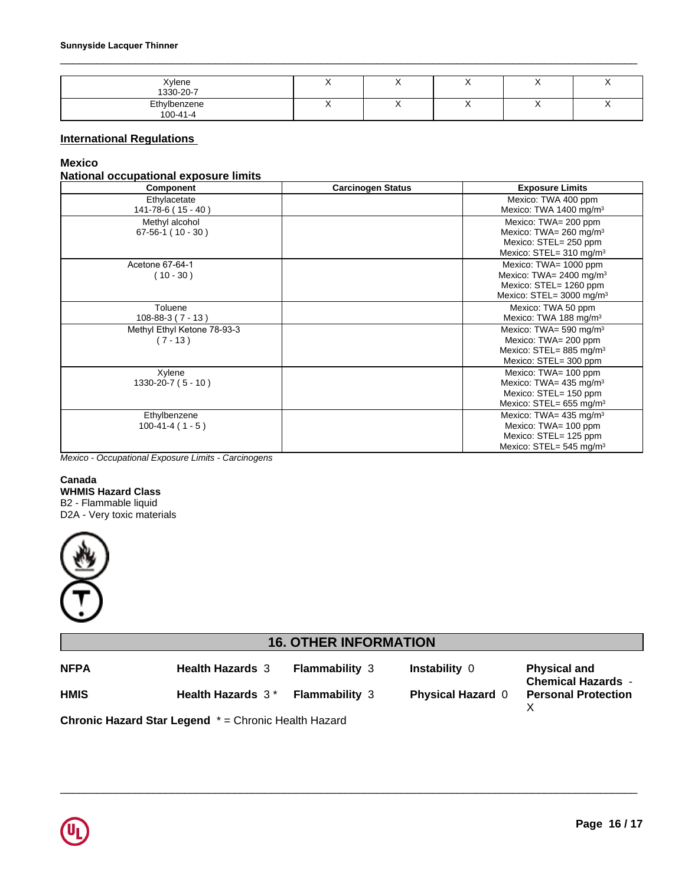| Xylene<br>1330-20-7            | . . |  |  |
|--------------------------------|-----|--|--|
| Ethylbenzene<br>$100 - 41 - 4$ |     |  |  |

### **International Regulations**

### **Mexico**

### **National occupational exposure limits**

|                                                                                            | Component                                 | <b>Carcinogen Status</b>     |                          | <b>Exposure Limits</b>                                                                                                         |
|--------------------------------------------------------------------------------------------|-------------------------------------------|------------------------------|--------------------------|--------------------------------------------------------------------------------------------------------------------------------|
|                                                                                            | Ethylacetate<br>141-78-6 (15 - 40)        |                              |                          | Mexico: TWA 400 ppm<br>Mexico: TWA 1400 mg/m <sup>3</sup>                                                                      |
|                                                                                            | Methyl alcohol<br>$67-56-1$ (10 - 30)     |                              |                          | Mexico: TWA= 200 ppm<br>Mexico: TWA= 260 mg/m <sup>3</sup><br>Mexico: STEL= 250 ppm<br>Mexico: STEL= 310 mg/m <sup>3</sup>     |
|                                                                                            | Acetone 67-64-1<br>$(10 - 30)$            |                              |                          | Mexico: TWA= 1000 ppm<br>Mexico: TWA= 2400 mg/m <sup>3</sup><br>Mexico: STEL= 1260 ppm<br>Mexico: STEL= 3000 mg/m <sup>3</sup> |
|                                                                                            | Toluene<br>$108 - 88 - 3(7 - 13)$         |                              |                          | Mexico: TWA 50 ppm<br>Mexico: TWA 188 mg/m <sup>3</sup>                                                                        |
|                                                                                            | Methyl Ethyl Ketone 78-93-3<br>$(7 - 13)$ |                              |                          | Mexico: TWA= 590 mg/m <sup>3</sup><br>Mexico: TWA= 200 ppm<br>Mexico: STEL= 885 mg/m <sup>3</sup><br>Mexico: STEL= 300 ppm     |
|                                                                                            | Xylene<br>$1330 - 20 - 7 (5 - 10)$        |                              |                          | Mexico: TWA= 100 ppm<br>Mexico: TWA= 435 mg/m <sup>3</sup><br>Mexico: STEL= 150 ppm<br>Mexico: STEL= 655 mg/m <sup>3</sup>     |
|                                                                                            | Ethylbenzene<br>$100-41-4(1-5)$           |                              |                          | Mexico: TWA= 435 mg/m <sup>3</sup><br>Mexico: TWA= 100 ppm<br>Mexico: STEL= 125 ppm<br>Mexico: STEL= 545 mg/m <sup>3</sup>     |
| Canada<br><b>WHMIS Hazard Class</b><br>B2 - Flammable liquid<br>D2A - Very toxic materials |                                           |                              |                          |                                                                                                                                |
|                                                                                            |                                           | <b>16. OTHER INFORMATION</b> |                          |                                                                                                                                |
| <b>NFPA</b>                                                                                | <b>Health Hazards 3</b>                   | Flammability 3               | Instability 0            | <b>Physical and</b>                                                                                                            |
| <b>HMIS</b>                                                                                | Health Hazards $3*$                       | <b>Flammability</b> 3        | Physical Hazard $\theta$ | <b>Chemical Hazards -</b><br><b>Personal Protection</b>                                                                        |



**HMIS Health Hazards 3<sup>\*</sup> Flammability 3 Physical Hazard 0** 

**Chemical Hazards** - **Personal Protection** X

\_\_\_\_\_\_\_\_\_\_\_\_\_\_\_\_\_\_\_\_\_\_\_\_\_\_\_\_\_\_\_\_\_\_\_\_\_\_\_\_\_\_\_\_\_\_\_\_\_\_\_\_\_\_\_\_\_\_\_\_\_\_\_\_\_\_\_\_\_\_\_\_\_\_\_\_\_\_\_\_\_\_\_\_\_\_\_\_\_\_\_\_\_ **Chronic Hazard Star Legend** \* = Chronic Health Hazard